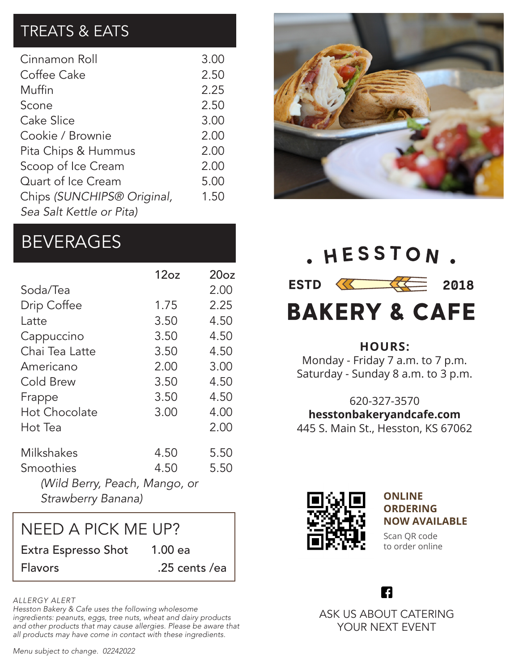# TREATS & EATS

| Cinnamon Roll              | 3.00 |
|----------------------------|------|
| Coffee Cake                | 2.50 |
| Muffin                     | 2.25 |
| Scone                      | 2.50 |
| Cake Slice                 | 3.00 |
| Cookie / Brownie           | 2.00 |
| Pita Chips & Hummus        | 2.00 |
| Scoop of Ice Cream         | 2.00 |
| Quart of Ice Cream         | 5.00 |
| Chips (SUNCHIPS® Original, | 1.50 |
| Sea Salt Kettle or Pita)   |      |

# **BEVERAGES**

|                               | 12oz | 20 <sub>oz</sub> |  |
|-------------------------------|------|------------------|--|
| Soda/Tea                      |      | 2.00             |  |
| Drip Coffee                   | 1.75 | 2.25             |  |
| Latte                         | 3.50 | 4.50             |  |
| Cappuccino                    | 3.50 | 4.50             |  |
| Chai Tea Latte                | 3.50 | 4.50             |  |
| Americano                     | 2.00 | 3.00             |  |
| Cold Brew                     | 3.50 | 4.50             |  |
| Frappe                        | 3.50 | 4.50             |  |
| <b>Hot Chocolate</b>          | 3.00 | 4.00             |  |
| Hot Tea                       |      | 2.00             |  |
| Milkshakes                    | 4.50 | 5.50             |  |
| Smoothies                     | 4.50 | 5.50             |  |
| (Wild Berry, Peach, Mango, or |      |                  |  |
| Strawberry Banana)            |      |                  |  |

Extra Espresso Shot 1.00 ea Flavors .25 cents /ea NEED A PICK ME UP?

#### *ALLERGY ALERT*

*Hesston Bakery & Cafe uses the following wholesome ingredients: peanuts, eggs, tree nuts, wheat and dairy products and other products that may cause allergies. Please be aware that all products may have come in contact with these ingredients.*



. HESSTON.  $ESTD \quad \overline{\text{13}}$  2018 **BAKERY & CAFE** 

#### **HOURS:**

Monday - Friday 7 a.m. to 7 p.m. Saturday - Sunday 8 a.m. to 3 p.m.

620-327-3570 **hesstonbakeryandcafe.com** 445 S. Main St., Hesston, KS 67062



**ONLINE ORDERING NOW AVAILABLE**

Scan QR code to order online

A

ASK US ABOUT CATERING YOUR NEXT EVENT